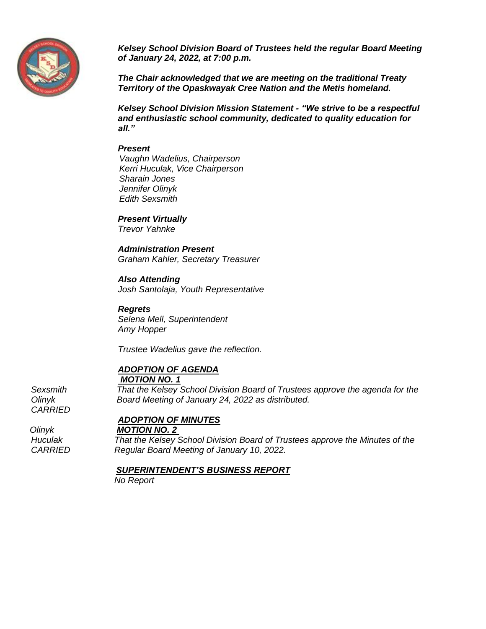

*Kelsey School Division Board of Trustees held the regular Board Meeting of January 24, 2022, at 7:00 p.m.*

*The Chair acknowledged that we are meeting on the traditional Treaty Territory of the Opaskwayak Cree Nation and the Metis homeland.*

*Kelsey School Division Mission Statement - "We strive to be a respectful and enthusiastic school community, dedicated to quality education for all."*

#### *Present*

 *Vaughn Wadelius, Chairperson Kerri Huculak, Vice Chairperson Sharain Jones Jennifer Olinyk Edith Sexsmith*

*Present Virtually Trevor Yahnke*

*Administration Present Graham Kahler, Secretary Treasurer*

## *Also Attending*

*Josh Santolaja, Youth Representative*

*Regrets Selena Mell, Superintendent Amy Hopper*

*Trustee Wadelius gave the reflection.* 

## *ADOPTION OF AGENDA*

*MOTION NO. 1*

*Sexsmith That the Kelsey School Division Board of Trustees approve the agenda for the Olinyk Board Meeting of January 24, 2022 as distributed. CARRIED*

*ADOPTION OF MINUTES*

 *Olinyk MOTION NO. 2* 

*Huculak That the Kelsey School Division Board of Trustees approve the Minutes of the CARRIED Regular Board Meeting of January 10, 2022.* 

#### *SUPERINTENDENT'S BUSINESS REPORT*

*No Report*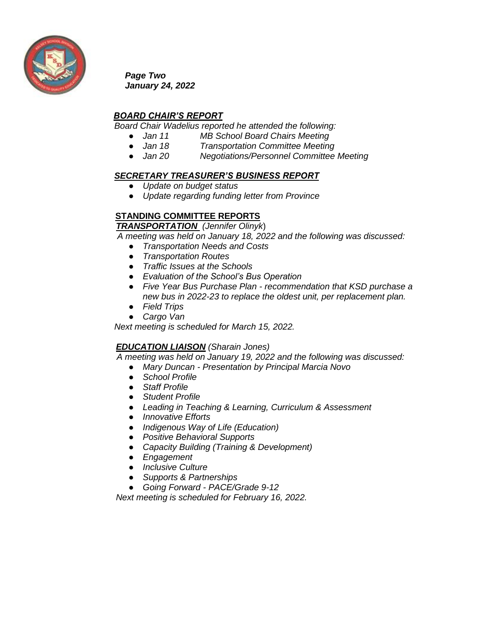

*Page Two January 24, 2022*

## *BOARD CHAIR'S REPORT*

*Board Chair Wadelius reported he attended the following:*

- *Jan 11 MB School Board Chairs Meeting*
- *Jan 18 Transportation Committee Meeting*
- *Jan 20 Negotiations/Personnel Committee Meeting*

#### *SECRETARY TREASURER'S BUSINESS REPORT*

- *Update on budget status*
- *Update regarding funding letter from Province*

### **STANDING COMMITTEE REPORTS**

 *TRANSPORTATION (Jennifer Olinyk*)

 *A meeting was held on January 18, 2022 and the following was discussed:* 

- *Transportation Needs and Costs*
- *Transportation Routes*
- *Traffic Issues at the Schools*
- *Evaluation of the School's Bus Operation*
- *Five Year Bus Purchase Plan - recommendation that KSD purchase a new bus in 2022-23 to replace the oldest unit, per replacement plan.*
- *Field Trips*
- *Cargo Van*

*Next meeting is scheduled for March 15, 2022.*

#### *EDUCATION LIAISON (Sharain Jones)*

 *A meeting was held on January 19, 2022 and the following was discussed:* 

- *Mary Duncan - Presentation by Principal Marcia Novo*
- *School Profile*
- *Staff Profile*
- *Student Profile*
- *Leading in Teaching & Learning, Curriculum & Assessment*
- *Innovative Efforts*
- *Indigenous Way of Life (Education)*
- *Positive Behavioral Supports*
- *Capacity Building (Training & Development)*
- *Engagement*
- *Inclusive Culture*
- *Supports & Partnerships*
- *Going Forward - PACE/Grade 9-12*

 *Next meeting is scheduled for February 16, 2022.*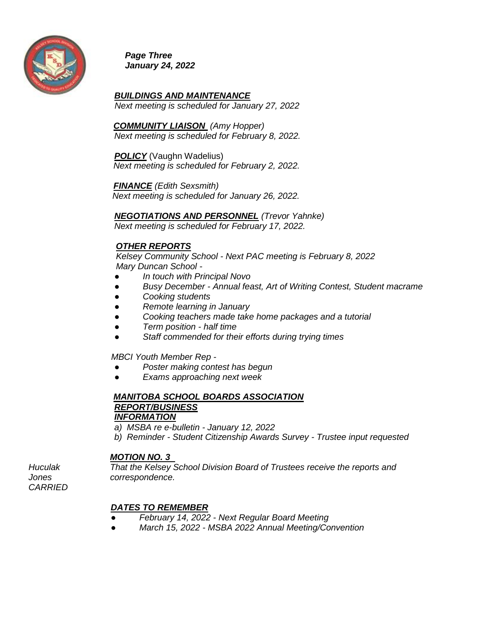

*Page Three January 24, 2022* 

*BUILDINGS AND MAINTENANCE Next meeting is scheduled for January 27, 2022*

 *COMMUNITY LIAISON (Amy Hopper) Next meeting is scheduled for February 8, 2022.*

*POLICY* (Vaughn Wadelius) *Next meeting is scheduled for February 2, 2022.* 

 *FINANCE (Edith Sexsmith)*

 *Next meeting is scheduled for January 26, 2022.* 

*NEGOTIATIONS AND PERSONNEL (Trevor Yahnke)* 

*Next meeting is scheduled for February 17, 2022.* 

## *OTHER REPORTS*

 *Kelsey Community School - Next PAC meeting is February 8, 2022 Mary Duncan School -*

- *In touch with Principal Novo*
- *Busy December - Annual feast, Art of Writing Contest, Student macrame*
- *Cooking students*
- *Remote learning in January*
- *Cooking teachers made take home packages and a tutorial*
- *Term position - half time*
- *Staff commended for their efforts during trying times*

 *MBCI Youth Member Rep -*

- *Poster making contest has begun*
- *Exams approaching next week*

## *MANITOBA SCHOOL BOARDS ASSOCIATION REPORT/BUSINESS INFORMATION*

*a) MSBA re e-bulletin - January 12, 2022 b) Reminder - Student Citizenship Awards Survey - Trustee input requested* 

#### *MOTION NO. 3*

*Huculak That the Kelsey School Division Board of Trustees receive the reports and Jones correspondence.* 

*CARRIED* 

## *DATES TO REMEMBER*

- *February 14, 2022 - Next Regular Board Meeting*
- *March 15, 2022 - MSBA 2022 Annual Meeting/Convention*